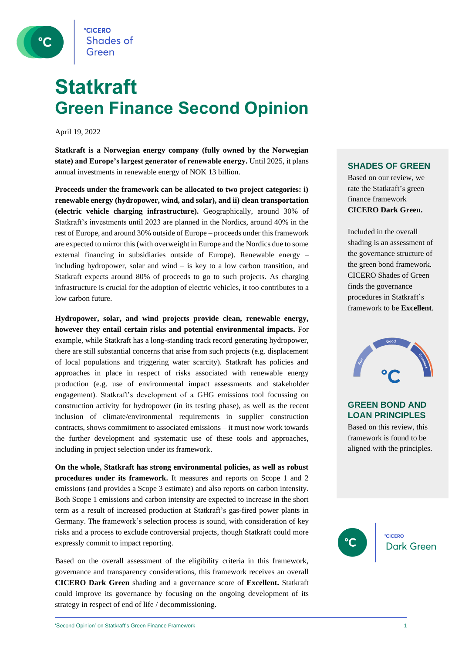

### **Statkraft Green Finance Second Opinion**

April 19, 2022

**Statkraft is a Norwegian energy company (fully owned by the Norwegian state) and Europe's largest generator of renewable energy.** Until 2025, it plans annual investments in renewable energy of NOK 13 billion.

**Proceeds under the framework can be allocated to two project categories: i) renewable energy (hydropower, wind, and solar), and ii) clean transportation (electric vehicle charging infrastructure).** Geographically, around 30% of Statkraft's investments until 2023 are planned in the Nordics, around 40% in the rest of Europe, and around 30% outside of Europe – proceeds under this framework are expected to mirror this (with overweight in Europe and the Nordics due to some external financing in subsidiaries outside of Europe). Renewable energy – including hydropower, solar and wind  $-$  is key to a low carbon transition, and Statkraft expects around 80% of proceeds to go to such projects. As charging infrastructure is crucial for the adoption of electric vehicles, it too contributes to a low carbon future.

**Hydropower, solar, and wind projects provide clean, renewable energy, however they entail certain risks and potential environmental impacts.** For example, while Statkraft has a long-standing track record generating hydropower, there are still substantial concerns that arise from such projects (e.g. displacement of local populations and triggering water scarcity). Statkraft has policies and approaches in place in respect of risks associated with renewable energy production (e.g. use of environmental impact assessments and stakeholder engagement). Statkraft's development of a GHG emissions tool focussing on construction activity for hydropower (in its testing phase), as well as the recent inclusion of climate/environmental requirements in supplier construction contracts, shows commitment to associated emissions – it must now work towards the further development and systematic use of these tools and approaches, including in project selection under its framework.

**On the whole, Statkraft has strong environmental policies, as well as robust procedures under its framework.** It measures and reports on Scope 1 and 2 emissions (and provides a Scope 3 estimate) and also reports on carbon intensity. Both Scope 1 emissions and carbon intensity are expected to increase in the short term as a result of increased production at Statkraft's gas-fired power plants in Germany. The framework's selection process is sound, with consideration of key risks and a process to exclude controversial projects, though Statkraft could more expressly commit to impact reporting.

Based on the overall assessment of the eligibility criteria in this framework, governance and transparency considerations, this framework receives an overall **CICERO Dark Green** shading and a governance score of **Excellent.** Statkraft could improve its governance by focusing on the ongoing development of its strategy in respect of end of life / decommissioning.

#### **SHADES OF GREEN**

Based on our review, we rate the Statkraft's green finance framework **CICERO Dark Green.** 

Included in the overall shading is an assessment of the governance structure of the green bond framework. CICERO Shades of Green finds the governance procedures in Statkraft's framework to be **Excellent**.



#### **GREEN BOND AND LOAN PRINCIPLES**

Based on this review, this framework is found to be aligned with the principles.

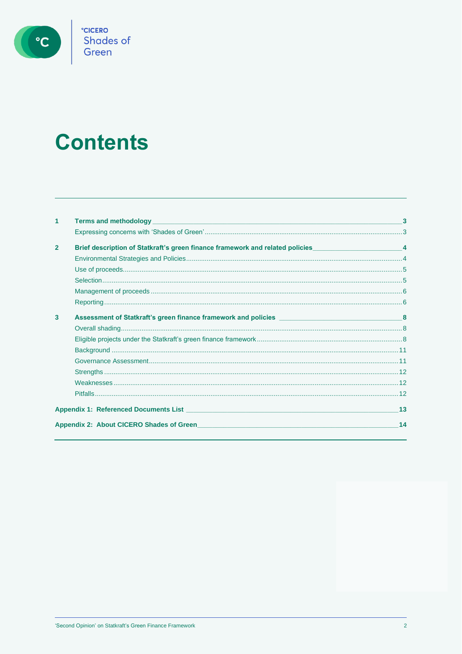

°cicero<br>Shades of<br>Green

# **Contents**

| 1              | <b>Terms and methodology and and all of the second services of the service of the service of the service of the service of the service of the service of the service of the service of the service of the service of the service</b> |    |  |  |
|----------------|--------------------------------------------------------------------------------------------------------------------------------------------------------------------------------------------------------------------------------------|----|--|--|
|                |                                                                                                                                                                                                                                      |    |  |  |
| $\overline{2}$ | Brief description of Statkraft's green finance framework and related policies_____________________________4                                                                                                                          |    |  |  |
|                |                                                                                                                                                                                                                                      |    |  |  |
|                |                                                                                                                                                                                                                                      |    |  |  |
|                |                                                                                                                                                                                                                                      |    |  |  |
|                |                                                                                                                                                                                                                                      |    |  |  |
|                |                                                                                                                                                                                                                                      |    |  |  |
| 3              |                                                                                                                                                                                                                                      | 8  |  |  |
|                |                                                                                                                                                                                                                                      |    |  |  |
|                |                                                                                                                                                                                                                                      |    |  |  |
|                |                                                                                                                                                                                                                                      |    |  |  |
|                |                                                                                                                                                                                                                                      |    |  |  |
|                |                                                                                                                                                                                                                                      |    |  |  |
|                |                                                                                                                                                                                                                                      |    |  |  |
|                |                                                                                                                                                                                                                                      |    |  |  |
|                |                                                                                                                                                                                                                                      | 13 |  |  |
|                | 14<br>Appendix 2: About CICERO Shades of Green <b>Appendix 2: About CICERO</b> Shades of Green                                                                                                                                       |    |  |  |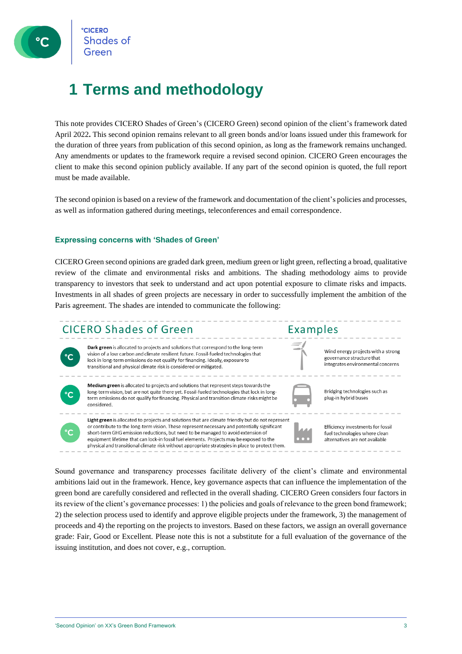### <span id="page-2-0"></span>**1 Terms and methodology**

This note provides CICERO Shades of Green's (CICERO Green) second opinion of the client's framework dated April 2022**.** This second opinion remains relevant to all green bonds and/or loans issued under this framework for the duration of three years from publication of this second opinion, as long as the framework remains unchanged. Any amendments or updates to the framework require a revised second opinion. CICERO Green encourages the client to make this second opinion publicly available. If any part of the second opinion is quoted, the full report must be made available.

<span id="page-2-1"></span>The second opinion is based on a review of the framework and documentation of the client's policies and processes, as well as information gathered during meetings, teleconferences and email correspondence.

#### **Expressing concerns with 'Shades of Green'**

CICERO Green second opinions are graded dark green, medium green or light green, reflecting a broad, qualitative review of the climate and environmental risks and ambitions. The shading methodology aims to provide transparency to investors that seek to understand and act upon potential exposure to climate risks and impacts. Investments in all shades of green projects are necessary in order to successfully implement the ambition of the Paris agreement. The shades are intended to communicate the following:

#### **CICERO Shades of Green**



Dark green is allocated to projects and solutions that correspond to the long-term vision of a low carbon and climate resilient future. Fossil-fueled technologies that lock in long-term emissions do not qualify for financing. Ideally, exposure to transitional and physical climate risk is considered or mitigated.



Medium green is allocated to projects and solutions that represent steps towards the long-term vision, but are not quite there yet. Fossil-fueled technologies that lock in longterm emissions do not qualify for financing. Physical and transition climate risks might be considered.



**Examples** 

Bridging technologies such as plug-in hybrid buses

Wind energy projects with a strong

integrates environmental concerns

governance structure that



Light green is allocated to projects and solutions that are climate friendly but do not represent or contribute to the long-term vision. These represent necessary and potentially significant short-term GHG emission reductions but need to be managed to avoid extension of equipment lifetime that can lock-in fossil fuel elements. Projects may be exposed to the physical and transitional climate risk without appropriate strategies in place to protect them.

Efficiency investments for fossil fuel technologies where clean alternatives are not available

Sound governance and transparency processes facilitate delivery of the client's climate and environmental ambitions laid out in the framework. Hence, key governance aspects that can influence the implementation of the green bond are carefully considered and reflected in the overall shading. CICERO Green considers four factors in its review of the client's governance processes: 1) the policies and goals of relevance to the green bond framework; 2) the selection process used to identify and approve eligible projects under the framework, 3) the management of proceeds and 4) the reporting on the projects to investors. Based on these factors, we assign an overall governance grade: Fair, Good or Excellent. Please note this is not a substitute for a full evaluation of the governance of the issuing institution, and does not cover, e.g., corruption.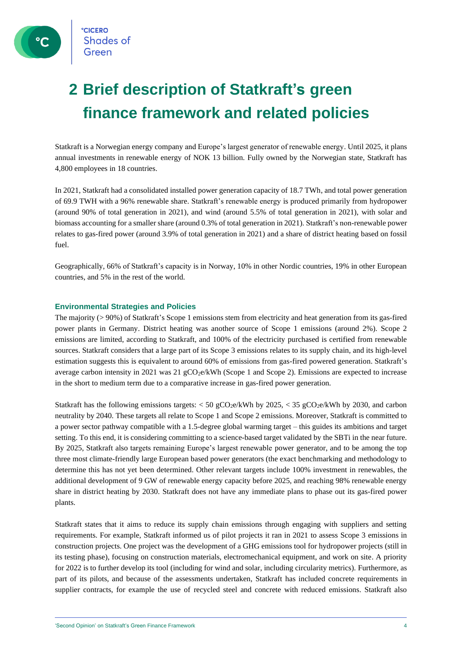### <span id="page-3-0"></span>**2 Brief description of Statkraft's green finance framework and related policies**

Statkraft is a Norwegian energy company and Europe's largest generator of renewable energy. Until 2025, it plans annual investments in renewable energy of NOK 13 billion. Fully owned by the Norwegian state, Statkraft has 4,800 employees in 18 countries.

In 2021, Statkraft had a consolidated installed power generation capacity of 18.7 TWh, and total power generation of 69.9 TWH with a 96% renewable share. Statkraft's renewable energy is produced primarily from hydropower (around 90% of total generation in 2021), and wind (around 5.5% of total generation in 2021), with solar and biomass accounting for a smaller share (around 0.3% of total generation in 2021). Statkraft's non-renewable power relates to gas-fired power (around 3.9% of total generation in 2021) and a share of district heating based on fossil fuel.

<span id="page-3-1"></span>Geographically, 66% of Statkraft's capacity is in Norway, 10% in other Nordic countries, 19% in other European countries, and 5% in the rest of the world.

#### **Environmental Strategies and Policies**

The majority (> 90%) of Statkraft's Scope 1 emissions stem from electricity and heat generation from its gas-fired power plants in Germany. District heating was another source of Scope 1 emissions (around 2%). Scope 2 emissions are limited, according to Statkraft, and 100% of the electricity purchased is certified from renewable sources. Statkraft considers that a large part of its Scope 3 emissions relates to its supply chain, and its high-level estimation suggests this is equivalent to around 60% of emissions from gas-fired powered generation. Statkraft's average carbon intensity in 2021 was 21 gCO<sub>2</sub>e/kWh (Scope 1 and Scope 2). Emissions are expected to increase in the short to medium term due to a comparative increase in gas-fired power generation.

Statkraft has the following emissions targets:  $<$  50 gCO<sub>2</sub>e/kWh by 2025,  $<$  35 gCO<sub>2</sub>e/kWh by 2030, and carbon neutrality by 2040. These targets all relate to Scope 1 and Scope 2 emissions. Moreover, Statkraft is committed to a power sector pathway compatible with a 1.5-degree global warming target – this guides its ambitions and target setting. To this end, it is considering committing to a science-based target validated by the SBTi in the near future. By 2025, Statkraft also targets remaining Europe's largest renewable power generator, and to be among the top three most climate-friendly large European based power generators (the exact benchmarking and methodology to determine this has not yet been determined. Other relevant targets include 100% investment in renewables, the additional development of 9 GW of renewable energy capacity before 2025, and reaching 98% renewable energy share in district heating by 2030. Statkraft does not have any immediate plans to phase out its gas-fired power plants.

Statkraft states that it aims to reduce its supply chain emissions through engaging with suppliers and setting requirements. For example, Statkraft informed us of pilot projects it ran in 2021 to assess Scope 3 emissions in construction projects. One project was the development of a GHG emissions tool for hydropower projects (still in its testing phase), focusing on construction materials, electromechanical equipment, and work on site. A priority for 2022 is to further develop its tool (including for wind and solar, including circularity metrics). Furthermore, as part of its pilots, and because of the assessments undertaken, Statkraft has included concrete requirements in supplier contracts, for example the use of recycled steel and concrete with reduced emissions. Statkraft also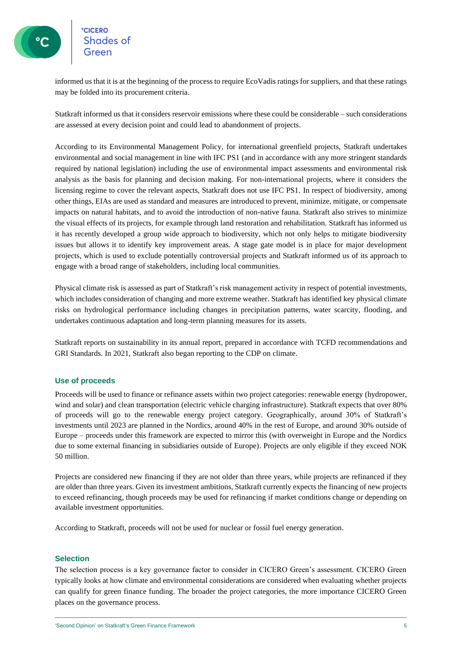# **CICERO**<br>Shades of<br>Green

informed us that it is at the beginning of the process to require EcoVadis ratings for suppliers, and that these ratings may be folded into its procurement criteria.

Statkraft informed us that it considers reservoir emissions where these could be considerable – such considerations are assessed at every decision point and could lead to abandonment of projects.

According to its Environmental Management Policy, for international greenfield projects, Statkraft undertakes environmental and social management in line with IFC PS1 (and in accordance with any more stringent standards required by national legislation) including the use of environmental impact assessments and environmental risk analysis as the basis for planning and decision making. For non-international projects, where it considers the licensing regime to cover the relevant aspects, Statkraft does not use IFC PS1. In respect of biodiversity, among other things, EIAs are used as standard and measures are introduced to prevent, minimize, mitigate, or compensate impacts on natural habitats, and to avoid the introduction of non-native fauna. Statkraft also strives to minimize the visual effects of its projects, for example through land restoration and rehabilitation. Statkraft has informed us it has recently developed a group wide approach to biodiversity, which not only helps to mitigate biodiversity issues but allows it to identify key improvement areas. A stage gate model is in place for major development projects, which is used to exclude potentially controversial projects and Statkraft informed us of its approach to engage with a broad range of stakeholders, including local communities.

Physical climate risk is assessed as part of Statkraft's risk management activity in respect of potential investments, which includes consideration of changing and more extreme weather. Statkraft has identified key physical climate risks on hydrological performance including changes in precipitation patterns, water scarcity, flooding, and undertakes continuous adaptation and long-term planning measures for its assets.

Statkraft reports on sustainability in its annual report, prepared in accordance with TCFD recommendations and GRI Standards. In 2021, Statkraft also began reporting to the CDP on climate.

#### <span id="page-4-0"></span>**Use of proceeds**

Proceeds will be used to finance or refinance assets within two project categories: renewable energy (hydropower, wind and solar) and clean transportation (electric vehicle charging infrastructure). Statkraft expects that over 80% of proceeds will go to the renewable energy project category. Geographically, around 30% of Statkraft's investments until 2023 are planned in the Nordics, around 40% in the rest of Europe, and around 30% outside of Europe – proceeds under this framework are expected to mirror this (with overweight in Europe and the Nordics due to some external financing in subsidiaries outside of Europe). Projects are only eligible if they exceed NOK 50 million.

Projects are considered new financing if they are not older than three years, while projects are refinanced if they are older than three years. Given its investment ambitions, Statkraft currently expects the financing of new projects to exceed refinancing, though proceeds may be used for refinancing if market conditions change or depending on available investment opportunities.

<span id="page-4-1"></span>According to Statkraft, proceeds will not be used for nuclear or fossil fuel energy generation.

#### **Selection**

The selection process is a key governance factor to consider in CICERO Green's assessment. CICERO Green typically looks at how climate and environmental considerations are considered when evaluating whether projects can qualify for green finance funding. The broader the project categories, the more importance CICERO Green places on the governance process.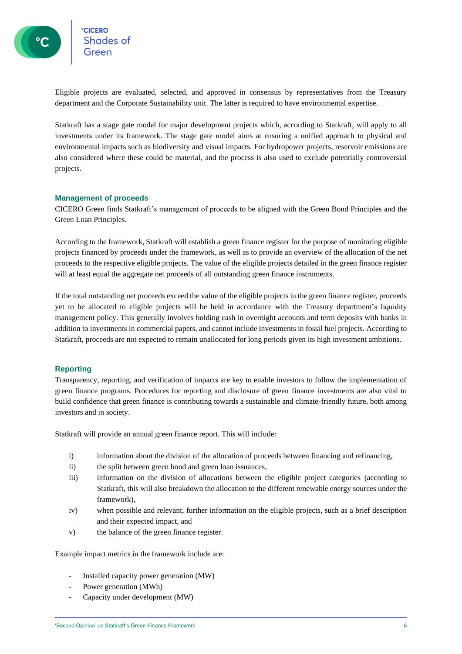Eligible projects are evaluated, selected, and approved in consensus by representatives from the Treasury department and the Corporate Sustainability unit. The latter is required to have environmental expertise.

Statkraft has a stage gate model for major development projects which, according to Statkraft, will apply to all investments under its framework. The stage gate model aims at ensuring a unified approach to physical and environmental impacts such as biodiversity and visual impacts. For hydropower projects, reservoir emissions are also considered where these could be material, and the process is also used to exclude potentially controversial projects.

#### <span id="page-5-0"></span>**Management of proceeds**

CICERO Green finds Statkraft's management of proceeds to be aligned with the Green Bond Principles and the Green Loan Principles.

According to the framework, Statkraft will establish a green finance register for the purpose of monitoring eligible projects financed by proceeds under the framework, as well as to provide an overview of the allocation of the net proceeds to the respective eligible projects. The value of the eligible projects detailed in the green finance register will at least equal the aggregate net proceeds of all outstanding green finance instruments.

If the total outstanding net proceeds exceed the value of the eligible projects in the green finance register, proceeds yet to be allocated to eligible projects will be held in accordance with the Treasury department's liquidity management policy. This generally involves holding cash in overnight accounts and term deposits with banks in addition to investments in commercial papers, and cannot include investments in fossil fuel projects. According to Statkraft, proceeds are not expected to remain unallocated for long periods given its high investment ambitions.

#### <span id="page-5-1"></span>**Reporting**

Transparency, reporting, and verification of impacts are key to enable investors to follow the implementation of green finance programs. Procedures for reporting and disclosure of green finance investments are also vital to build confidence that green finance is contributing towards a sustainable and climate-friendly future, both among investors and in society.

Statkraft will provide an annual green finance report. This will include:

- i) information about the division of the allocation of proceeds between financing and refinancing,
- ii) the split between green bond and green loan issuances,
- iii) information on the division of allocations between the eligible project categories (according to Statkraft, this will also breakdown the allocation to the different renewable energy sources under the framework),
- iv) when possible and relevant, further information on the eligible projects, such as a brief description and their expected impact, and
- v) the balance of the green finance register.

Example impact metrics in the framework include are:

- Installed capacity power generation (MW)
- Power generation (MWh)
- Capacity under development (MW)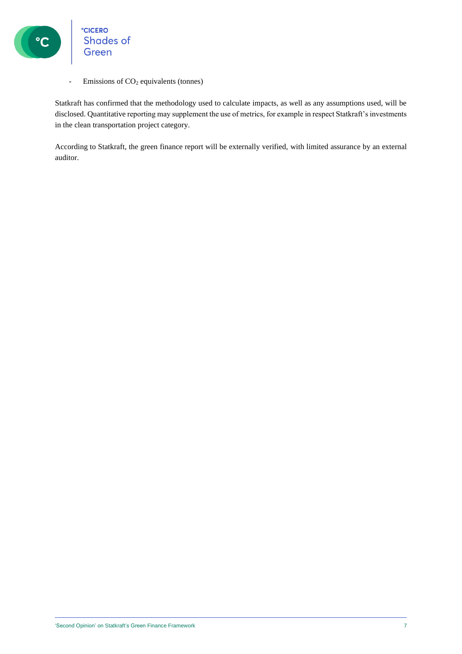

°CICERO<br>Shades of Green

- Emissions of  $CO<sub>2</sub>$  equivalents (tonnes)

Statkraft has confirmed that the methodology used to calculate impacts, as well as any assumptions used, will be disclosed. Quantitative reporting may supplement the use of metrics, for example in respect Statkraft's investments in the clean transportation project category.

According to Statkraft, the green finance report will be externally verified, with limited assurance by an external auditor.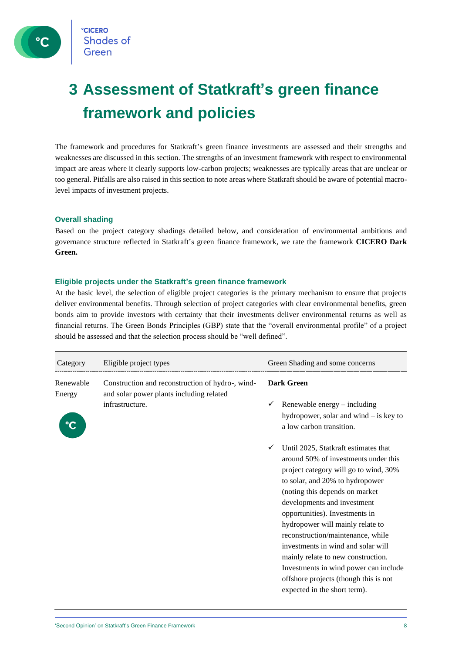**CICERO Shades of** Green

### <span id="page-7-0"></span>**3 Assessment of Statkraft's green finance framework and policies**

The framework and procedures for Statkraft's green finance investments are assessed and their strengths and weaknesses are discussed in this section. The strengths of an investment framework with respect to environmental impact are areas where it clearly supports low-carbon projects; weaknesses are typically areas that are unclear or too general. Pitfalls are also raised in this section to note areas where Statkraft should be aware of potential macrolevel impacts of investment projects.

#### <span id="page-7-1"></span>**Overall shading**

Based on the project category shadings detailed below, and consideration of environmental ambitions and governance structure reflected in Statkraft's green finance framework, we rate the framework **CICERO Dark Green.**

#### <span id="page-7-2"></span>**Eligible projects under the Statkraft's green finance framework**

At the basic level, the selection of eligible project categories is the primary mechanism to ensure that projects deliver environmental benefits. Through selection of project categories with clear environmental benefits, green bonds aim to provide investors with certainty that their investments deliver environmental returns as well as financial returns. The Green Bonds Principles (GBP) state that the "overall environmental profile" of a project should be assessed and that the selection process should be "well defined".

| Category            | Eligible project types                                                                       | Green Shading and some concerns                                                                                                                                                                                                                                                                                                                                                                                                                                                                                                                    |  |
|---------------------|----------------------------------------------------------------------------------------------|----------------------------------------------------------------------------------------------------------------------------------------------------------------------------------------------------------------------------------------------------------------------------------------------------------------------------------------------------------------------------------------------------------------------------------------------------------------------------------------------------------------------------------------------------|--|
| Renewable<br>Energy | Construction and reconstruction of hydro-, wind-<br>and solar power plants including related | <b>Dark Green</b>                                                                                                                                                                                                                                                                                                                                                                                                                                                                                                                                  |  |
|                     | infrastructure.                                                                              | Renewable energy $-$ including<br>hydropower, solar and wind $-$ is key to<br>a low carbon transition.                                                                                                                                                                                                                                                                                                                                                                                                                                             |  |
|                     |                                                                                              | Until 2025, Statkraft estimates that<br>$\checkmark$<br>around 50% of investments under this<br>project category will go to wind, 30%<br>to solar, and 20% to hydropower<br>(noting this depends on market<br>developments and investment<br>opportunities). Investments in<br>hydropower will mainly relate to<br>reconstruction/maintenance, while<br>investments in wind and solar will<br>mainly relate to new construction.<br>Investments in wind power can include<br>offshore projects (though this is not<br>expected in the short term). |  |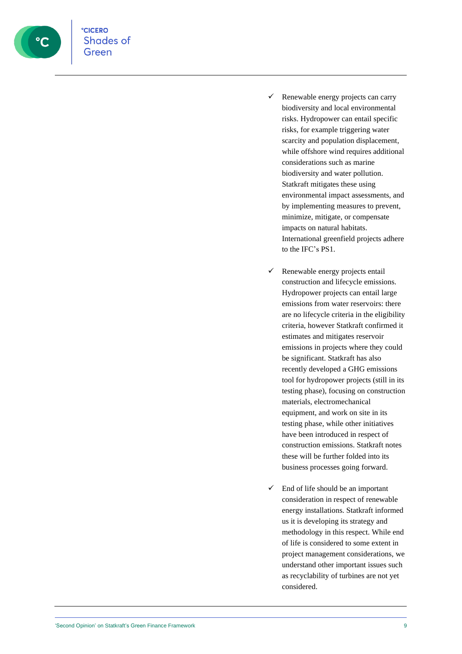

- ✓ Renewable energy projects can carry biodiversity and local environmental risks. Hydropower can entail specific risks, for example triggering water scarcity and population displacement, while offshore wind requires additional considerations such as marine biodiversity and water pollution. Statkraft mitigates these using environmental impact assessments, and by implementing measures to prevent, minimize, mitigate, or compensate impacts on natural habitats. International greenfield projects adhere to the IFC's PS1.
- $\checkmark$  Renewable energy projects entail construction and lifecycle emissions. Hydropower projects can entail large emissions from water reservoirs: there are no lifecycle criteria in the eligibility criteria, however Statkraft confirmed it estimates and mitigates reservoir emissions in projects where they could be significant. Statkraft has also recently developed a GHG emissions tool for hydropower projects (still in its testing phase), focusing on construction materials, electromechanical equipment, and work on site in its testing phase, while other initiatives have been introduced in respect of construction emissions. Statkraft notes these will be further folded into its business processes going forward.
- $\checkmark$  End of life should be an important consideration in respect of renewable energy installations. Statkraft informed us it is developing its strategy and methodology in this respect. While end of life is considered to some extent in project management considerations, we understand other important issues such as recyclability of turbines are not yet considered.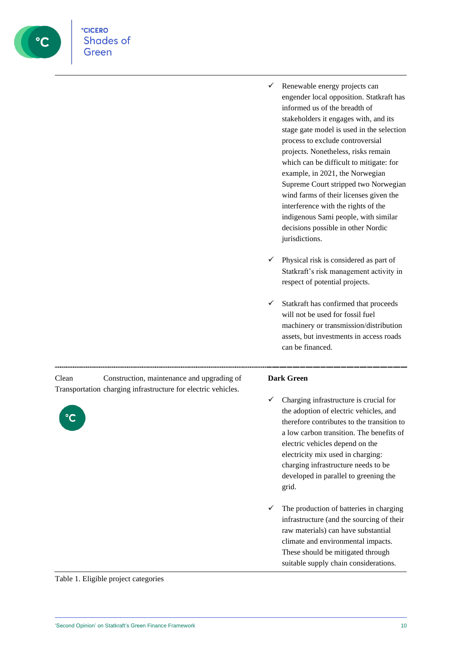

- $\checkmark$  Renewable energy projects can engender local opposition. Statkraft has informed us of the breadth of stakeholders it engages with, and its stage gate model is used in the selection process to exclude controversial projects. Nonetheless, risks remain which can be difficult to mitigate: for example, in 2021, the Norwegian Supreme Court stripped two Norwegian wind farms of their licenses given the interference with the rights of the indigenous Sami people, with similar decisions possible in other Nordic jurisdictions.
- $\checkmark$  Physical risk is considered as part of Statkraft's risk management activity in respect of potential projects.
- ✓ Statkraft has confirmed that proceeds will not be used for fossil fuel machinery or transmission/distribution assets, but investments in access roads can be financed.

Clean Transportation charging infrastructure for electric vehicles. Construction, maintenance and upgrading of



#### **Dark Green**

- Charging infrastructure is crucial for the adoption of electric vehicles, and therefore contributes to the transition to a low carbon transition. The benefits of electric vehicles depend on the electricity mix used in charging: charging infrastructure needs to be developed in parallel to greening the grid.
- $\checkmark$  The production of batteries in charging infrastructure (and the sourcing of their raw materials) can have substantial climate and environmental impacts. These should be mitigated through suitable supply chain considerations.

Table 1. Eligible project categories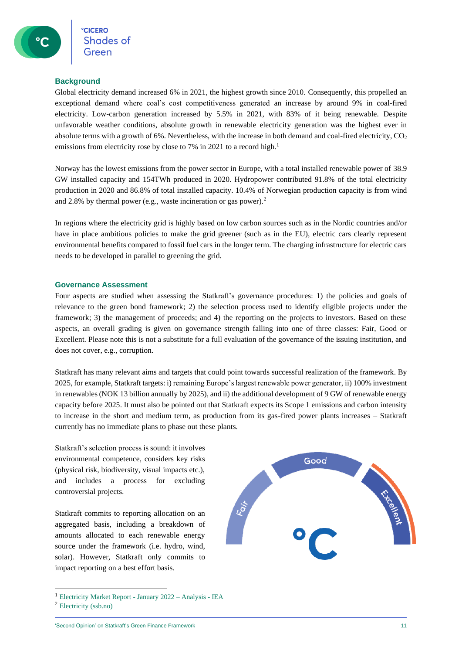#### <span id="page-10-0"></span>**Background**

Global electricity demand increased 6% in 2021, the highest growth since 2010. Consequently, this propelled an exceptional demand where coal's cost competitiveness generated an increase by around 9% in coal-fired electricity. Low-carbon generation increased by 5.5% in 2021, with 83% of it being renewable. Despite unfavorable weather conditions, absolute growth in renewable electricity generation was the highest ever in absolute terms with a growth of 6%. Nevertheless, with the increase in both demand and coal-fired electricity,  $CO<sub>2</sub>$ emissions from electricity rose by close to 7% in 2021 to a record high.<sup>1</sup>

Norway has the lowest emissions from the power sector in Europe, with a total installed renewable power of 38.9 GW installed capacity and 154TWh produced in 2020. Hydropower contributed 91.8% of the total electricity production in 2020 and 86.8% of total installed capacity. 10.4% of Norwegian production capacity is from wind and 2.8% by thermal power (e.g., waste incineration or gas power).<sup>2</sup>

In regions where the electricity grid is highly based on low carbon sources such as in the Nordic countries and/or have in place ambitious policies to make the grid greener (such as in the EU), electric cars clearly represent environmental benefits compared to fossil fuel cars in the longer term. The charging infrastructure for electric cars needs to be developed in parallel to greening the grid.

#### <span id="page-10-1"></span>**Governance Assessment**

Four aspects are studied when assessing the Statkraft's governance procedures: 1) the policies and goals of relevance to the green bond framework; 2) the selection process used to identify eligible projects under the framework; 3) the management of proceeds; and 4) the reporting on the projects to investors. Based on these aspects, an overall grading is given on governance strength falling into one of three classes: Fair, Good or Excellent. Please note this is not a substitute for a full evaluation of the governance of the issuing institution, and does not cover, e.g., corruption.

Statkraft has many relevant aims and targets that could point towards successful realization of the framework. By 2025, for example, Statkraft targets: i) remaining Europe's largest renewable power generator, ii) 100% investment in renewables (NOK 13 billion annually by 2025), and ii) the additional development of 9 GW of renewable energy capacity before 2025. It must also be pointed out that Statkraft expects its Scope 1 emissions and carbon intensity to increase in the short and medium term, as production from its gas-fired power plants increases – Statkraft currently has no immediate plans to phase out these plants.

Statkraft's selection process is sound: it involves environmental competence, considers key risks (physical risk, biodiversity, visual impacts etc.), and includes a process for excluding controversial projects.

Statkraft commits to reporting allocation on an aggregated basis, including a breakdown of amounts allocated to each renewable energy source under the framework (i.e. hydro, wind, solar). However, Statkraft only commits to impact reporting on a best effort basis.



<sup>2</sup> [Electricity \(ssb.no\)](https://www.ssb.no/en/energi-og-industri/energi/statistikk/elektrisitet)

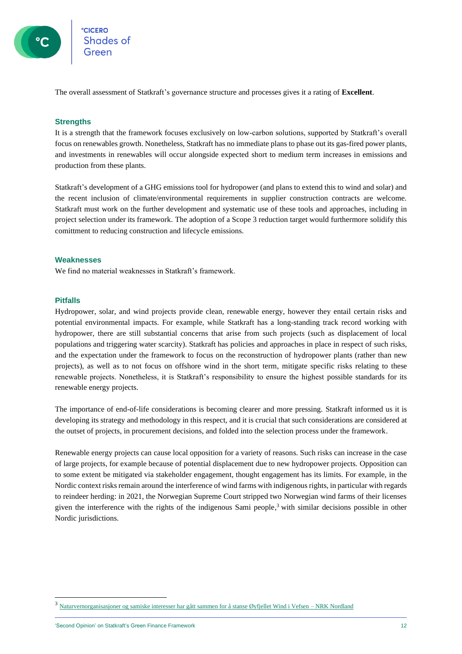

<span id="page-11-0"></span>The overall assessment of Statkraft's governance structure and processes gives it a rating of **Excellent**.

#### **Strengths**

It is a strength that the framework focuses exclusively on low-carbon solutions, supported by Statkraft's overall focus on renewables growth. Nonetheless, Statkraft has no immediate plans to phase out its gas-fired power plants, and investments in renewables will occur alongside expected short to medium term increases in emissions and production from these plants.

Statkraft's development of a GHG emissions tool for hydropower (and plans to extend this to wind and solar) and the recent inclusion of climate/environmental requirements in supplier construction contracts are welcome. Statkraft must work on the further development and systematic use of these tools and approaches, including in project selection under its framework. The adoption of a Scope 3 reduction target would furthermore solidify this comittment to reducing construction and lifecycle emissions.

#### <span id="page-11-1"></span>**Weaknesses**

<span id="page-11-2"></span>We find no material weaknesses in Statkraft's framework.

#### **Pitfalls**

Hydropower, solar, and wind projects provide clean, renewable energy, however they entail certain risks and potential environmental impacts. For example, while Statkraft has a long-standing track record working with hydropower, there are still substantial concerns that arise from such projects (such as displacement of local populations and triggering water scarcity). Statkraft has policies and approaches in place in respect of such risks, and the expectation under the framework to focus on the reconstruction of hydropower plants (rather than new projects), as well as to not focus on offshore wind in the short term, mitigate specific risks relating to these renewable projects. Nonetheless, it is Statkraft's responsibility to ensure the highest possible standards for its renewable energy projects.

The importance of end-of-life considerations is becoming clearer and more pressing. Statkraft informed us it is developing its strategy and methodology in this respect, and it is crucial that such considerations are considered at the outset of projects, in procurement decisions, and folded into the selection process under the framework.

Renewable energy projects can cause local opposition for a variety of reasons. Such risks can increase in the case of large projects, for example because of potential displacement due to new hydropower projects. Opposition can to some extent be mitigated via stakeholder engagement, thought engagement has its limits. For example, in the Nordic context risks remain around the interference of wind farms with indigenous rights, in particular with regards to reindeer herding: in 2021, the Norwegian Supreme Court stripped two Norwegian wind farms of their licenses given the interference with the rights of the indigenous Sami people, <sup>3</sup> with similar decisions possible in other Nordic jurisdictions.

'Second Opinion' on Statkraft's Green Finance Framework 12

<sup>3</sup> [Naturvernorganisasjoner og samiske interesser har gått sammen for å stanse Øyfjellet Wind i Vefsen –](https://www.nrk.no/nordland/naturvernorganisasjoner-og-samiske-interesser-har-gatt-sammen-for-a-stanse-oyfjellet-wind-i-vefsen-1.14990276) NRK Nordland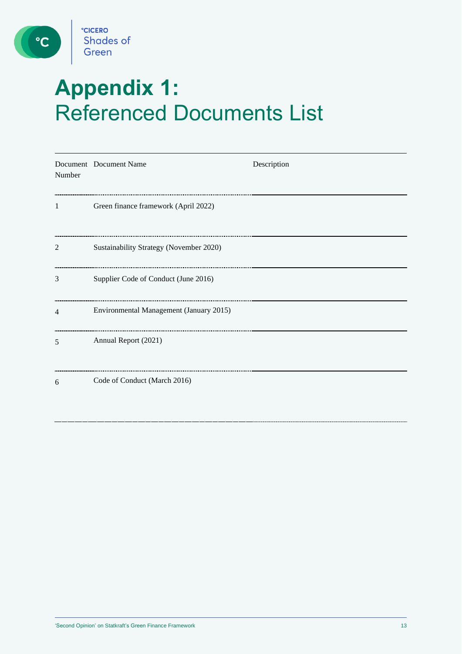

C

# <span id="page-12-0"></span>**Appendix 1:**  Referenced Documents List

| Number         | Document Document Name                  | Description |
|----------------|-----------------------------------------|-------------|
| 1              | Green finance framework (April 2022)    |             |
| 2              | Sustainability Strategy (November 2020) |             |
| 3              | Supplier Code of Conduct (June 2016)    |             |
| $\overline{4}$ | Environmental Management (January 2015) |             |
| 5              | Annual Report (2021)                    |             |
| 6              | Code of Conduct (March 2016)            |             |